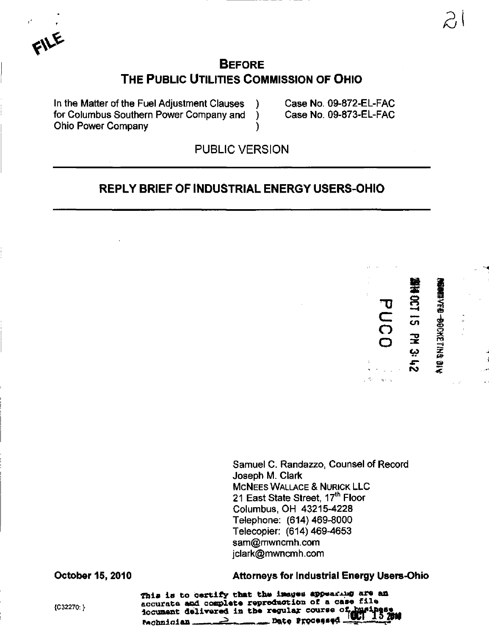$\mathbf{F}^{\prime}$ 

## **BEFORE** THE PUBLIC UTILITIES COMMISSION OF OHIO

In the Matter of the Fuel Adjustment Clauses ) Case No. 09-872-EL-FAC for Columbus Southern Power Company and ) Case No. 09-873-EL-FAC Ohio Power Company )

PUBLIC VERSION

### REPLY BRIEF OF INDUSTRIAL ENERGY USERS-OHIO



"D

 $\bf \Xi$ 

O o

Her Sc

 $\triangleright$ 

Samuel C. Randazzo, Counsel of Record Joseph M. Clark MCNEES WALLACE & NURICK LLC 21 East State Street, 17<sup>th</sup> Floor Columbus, OH 43215-4228 Telephone: (614)469-8000 Telecopier: (614)469-4653 [sam@mwncmh.com](mailto:sam@mwncmh.com) [jclark@mwncmh.com](mailto:jclark@mwncmh.com)

October 15, 2010 Attorneys for Industrial Energy Users-Ohio

This is to certify that the images appearing are an fra-<br>fraction is accurate and complete reproduction of a case file<br>is accurate dilinear in the perular course of busing  $1$ ocument delivered in the regular course of Pnqhnioian ,•,. - ^ fi«t« Fxocf flsfd-J\*i-i.£,\*F"'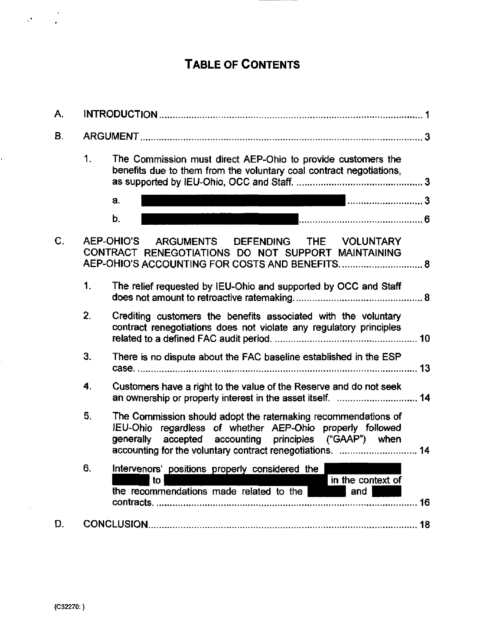# TABLE OF CONTENTS

| Α.             |                  |                                                                                                                                                                                         |    |
|----------------|------------------|-----------------------------------------------------------------------------------------------------------------------------------------------------------------------------------------|----|
| В.             |                  |                                                                                                                                                                                         |    |
|                | 1.               | The Commission must direct AEP-Ohio to provide customers the<br>benefits due to them from the voluntary coal contract negotiations,                                                     |    |
|                |                  | 3<br>a.                                                                                                                                                                                 |    |
|                |                  | b.                                                                                                                                                                                      |    |
| $\mathbf{C}$ . |                  | AEP-OHIO'S ARGUMENTS DEFENDING THE VOLUNTARY<br>CONTRACT RENEGOTIATIONS DO NOT SUPPORT MAINTAINING<br>AEP-OHIO'S ACCOUNTING FOR COSTS AND BENEFITS 8                                    |    |
|                | 1.               | The relief requested by IEU-Ohio and supported by OCC and Staff                                                                                                                         |    |
|                | $\overline{2}$ . | Crediting customers the benefits associated with the voluntary<br>contract renegotiations does not violate any regulatory principles                                                    |    |
|                | 3.               | There is no dispute about the FAC baseline established in the ESP                                                                                                                       |    |
|                | 4.               | Customers have a right to the value of the Reserve and do not seek<br>an ownership or property interest in the asset itself.  14                                                        |    |
|                | 5.               | The Commission should adopt the ratemaking recommendations of<br>IEU-Ohio regardless of whether AEP-Ohio properly followed<br>accepted accounting principles ("GAAP") when<br>generally |    |
|                | 6.               | Intervenors' positions properly considered the  <br>in the context of<br>to<br>the recommendations made related to the<br>and                                                           | 16 |
| D.             |                  | 18                                                                                                                                                                                      |    |

 $\frac{1}{2} \frac{1}{2} \left( \frac{1}{2} \right)^2$ 

Ĩ.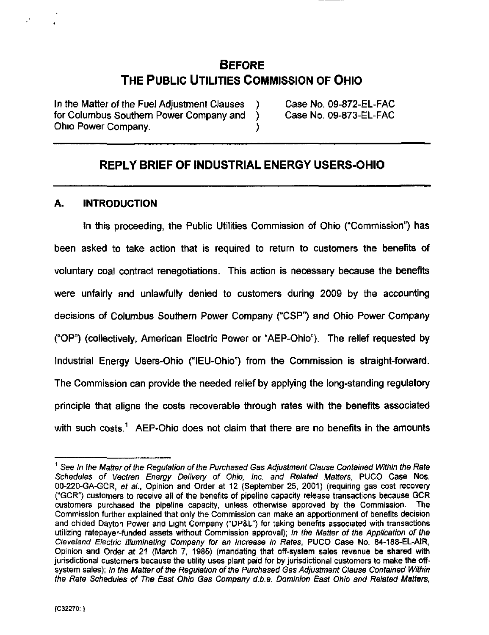## BEFORE THE PUBLIC UTILITIES COMMISSION OF OHIO

In the Matter of the Fuel Adjustment Clauses ) Case No. 09-872-EL-FAC for Columbus Southern Power Company and ) Case No. 09-873-EL-FAC Ohio Power Company. )

### REPLY BRIEF OF INDUSTRIAL ENERGY USERS-OHIO

#### A. INTRODUCTION

In this proceeding, the Public Utilities Commission of Ohio ("Commission") has been asked to take action that is required to return to customers the benefits of voluntary coal contract renegotiations. This action is necessary because the benefits were unfairly and unlawfully denied to customers during 2009 by the accounting decisions of Columbus Southern Power Company ("CSP") and Ohio Power Company ("OP") (collectively, American Electric Power or "AEP-Ohio"). The relief requested by Industrial Energy Users-Ohio ("lEU-Ohio") from the Commission is straight-fonward. The Commission can provide the needed relief by applying the long-standing regulatory principle that aligns the costs recoverable through rates with the benefits associated with such costs.<sup>1</sup> AEP-Ohio does not claim that there are no benefits in the amounts

 $^1$  See In the Matter of the Regulation of the Purchased Gas Adjustment Clause Contained Within the Rate Schedules of Vectren Energy Delivery of Ohio, Inc. and Related Matters, PUCO Case Nos. 00-220-GA-GCR. et al., Opinion and Order at 12 (September 25, 2001) (requiring gas cost recovery ("GCR") customers to receive all of the benefits of pipeline capacity release transactions because GCR customers purchased the pipeline capacity, unless otherwise approved by the Commission. The Commission further explained that only the Commission can make an apportionment of benefits decision and chided Dayton Power and Light Company ("DP&L") for taking benefits associated with transactions utilizing ratepayer-funded assets without Commission approval); In the Matter of the Application of the Cleveland Electric Illuminating Company for an Increase in Rates, PUCO Case No. 84-188-EL-AIR, Opinion and Order at 21 (March 7, 1985) (mandating that off-system sales revenue be shared with jurisdictional customers because the utility uses plant paid for by jurisdictional customers to make the offsystem sales); In the Matter of the Regulation of the Purchased Gas Adjustment Clause Contained Within the Rate Schedules of The East Ohio Gas Company d.b.a. Dominion East Ohio and Related Matters,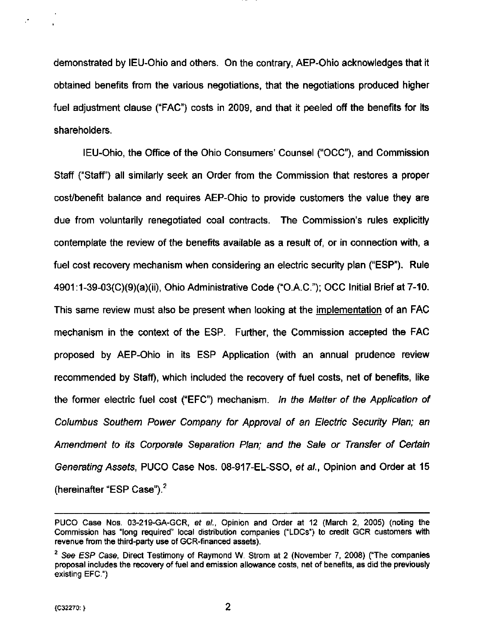demonstrated by lEU-Ohio and others. On the contrary, AEP-Ohio acknowledges that it obtained benefits from the various negotiations, that the negotiations produced higher fuel adjustment clause ("FAC") costs in 2009, and that it peeled off the benefits for its shareholders.

IEU-Ohio, the Office of the Ohio Consumers' Counsel ("OCC"), and Commission Staff ("Staff') all similarly seek an Order from the Commission that restores a proper cost/benefit balance and requires AEP-Ohio to provide customers the value they are due from voluntarily renegotiated coal contracts. The Commission's rules explicitly contemplate the review of the benefits available as a result of, or in connection with, a fuel cost recovery mechanism when considering an electric security plan ("ESP"). Rule 4901:1-39-03(C)(9)(a)(ii), Ohio Administrative Code ("O.A.C."); OCC Initial Brief at 7-10, This same review must also be present when looking at the implementation of an FAC mechanism in the context of the ESP. Further, the Commission accepted the FAC proposed by AEP-Ohio in its ESP Application (with an annual prudence review recommended by Staff), which included the recovery of fuel costs, net of benefits, like the former electric fuel cost ("EFC") mechanism. In the Matter of the Application of Columbus Southern Power Company for Approval of an Electric Security Plan; an Amendment to its Corporate Separation Plan; and the Sale or Transfer of Certain Generating Assets, PUCO Case Nos. 08-917-EL-SSO, et al., Opinion and Order at 15 (hereinafter "ESP Case"). $<sup>2</sup>$ </sup>

2

PUCO Case Nos. 03-219-GA-GCR, et al., Opinion and Order at 12 (March 2, 2005) (noting the Commission has "long required" local distribution companies ("LDCs") to credit GCR customers with revenue from the third-party use of GCR-financed assets).

 $2$  See ESP Case, Direct Testimony of Raymond W. Strom at 2 (November 7, 2008) ("The companies proposal includes the recovery of fuel and emission allowance costs, net of benefits, as did the previously existing EFC")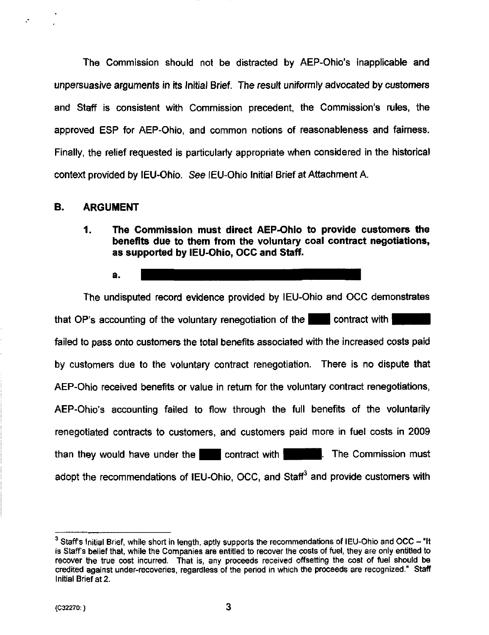The Commission should not be distracted by AEP-Ohio's inapplicable and unpersuasive arguments in its Initial Brief. The result uniformly advocated by customers and Staff is consistent with Commission precedent, the Commission's rules, the approved ESP for AEP-Ohio, and common notions of reasonableness and fairness. Finally, the relief requested is particularly appropriate when considered in the historical context provided by lEU-Ohio. See lEU-Ohio Initial Brief at Attachment A.

#### B. ARGUMENT

1. The Commission must direct AEP-Ohio to provide customers the benefits due to them from the voluntary coal contract negotiations, as supported by lEU-Ohio, OCC and Staff.

a.

The undisputed record evidence provided by lEU-Ohio and OCC demonstrates that OP's accounting of the voluntary renegotiation of the  $\blacksquare$  contract with I failed to pass onto customers the total benefits associated with the increased costs paid by customers due to the voluntary contract renegotiation. There is no dispute that AEP-Ohio received benefits or value in return for the voluntary contract renegotiations, AEP-Ohio's accounting failed to flow through the full benefits of the voluntarily renegotiated contracts to customers, and customers paid more in fuel costs in 2009 than they would have under the  $\blacksquare$  contract with  $\blacksquare$  . The Commission must adopt the recommendations of IEU-Ohio, OCC, and Staff<sup>3</sup> and provide customers with

 $\degree$  Staff's Initial Brief, while short in length, aptly supports the recommendations of IEU-Ohio and OCC - "It is Staffs belief that, while the Companies are entitled to recover the costs of fuel, they are only entitled to recover the true cost incurred. That is, any proceeds received offsetting the cost of fuel should be credited against under-recoveries, regardless of the period in which the proceeds are recognized." Staff Initial Brief at 2.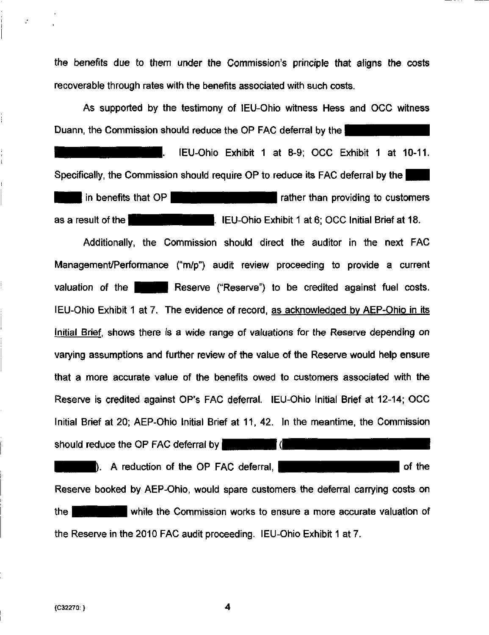the benefits due to them under the Commission's principle that aligns the costs recoverable through rates with the benefits associated with such costs.

As supported by the testimony of lEU-Ohio witness Hess and OCC witness Duann, the Commission should reduce the OP FAC deferral by the

lEU-Ohio Exhibit 1 at 8-9; OCC Exhibit 1 at 10-11. Specifically, the Commission should require OP to reduce its FAC deferral by the  $\frac{1}{2}$  in benefits that OP  $\frac{1}{2}$  in benefits that OP  $\frac{1}{2}$ as a result of the  $\parallel$  - leu-Ohio Exhibit 1 at 6; OCC Initial Brief at 18.

Additionally, the Commission should direct the auditor in the next FAC Management/Performance ("m/p") audit review proceeding to provide a current valuation of the **Reserve ("Reserve")** to be credited against fuel costs. lEU-Ohio Exhibit 1 at 7. The evidence of record, as acknowledged bv AEP-Ohio in its initial Brief, shows there is a wide range of valuations for the Reserve depending on varying assumptions and further review of the value of the Reserve would help ensure that a more accurate value of the benefits owed to customers associated with the Reserve is credited against OP's FAC deferral. lEU-Ohio Initial Brief at 12-14; OCC Initial Brief at 20; AEP-Ohio Initial Brief at 11, 42. In the meantime, the Commission should reduce the OP FAC deferral by l (l ). A reduction of the OP FAC deferral,  $\blacksquare$ 

Reserve booked by AEP-Ohio, would spare customers the deferral carrying costs on **EXA HJUHI While the Commission works to ensure a more accurate valuation of** the Reserve in the 2010 FAC audit proceeding. lEU-Ohio Exhibit 1 at 7.

4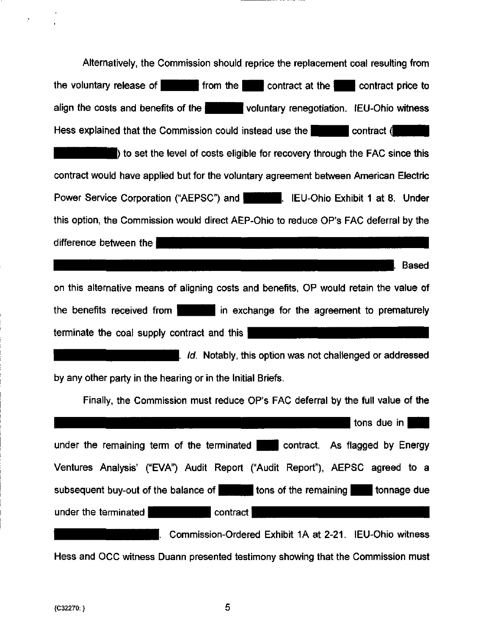Alternatively, the Commission should reprice the replacement coal resulting from the voluntary release of  $\blacksquare$  from the  $\blacksquare$  contract at the  $\blacksquare$  contract price to align the costs and benefits of the **interest of voluntary renegotiation.** IEU-Ohio witness Hess explained that the Commission could instead use the **interval contract** ( ) to set the level of costs eligible for recovery through the FAC since this contract would have applied but for the voluntary agreement between American Electric Power Service Corporation ("AEPSC") and **Fig. 1. IEU-Ohio Exhibit 1 at 8. Under** this option, the Commission would direct AEP-Ohio to reduce OP's FAC deferral by the difference between the . Based on this alternative means of aligning costs and benefits, OP would retain the value of the benefits received from  $\mathbf{H}$  in exchange for the agreement to prematurely terminate the coal supply contract and this  $\parallel$ Highlihi Ind. Notably, this option was not challenged or addressed by any other party in the hearing or in the Initial Briefs. Finally, the Commission must reduce OP's FAC deferral by the full value of the tons due in H under the remaining term of the terminated  $\blacksquare$  contract. As flagged by Energy Ventures Analysis' ("EVA") Audit Report ("Audit Report"), AEPSC agreed to a subsequent buy-out of the balance of  $\Box$  tons of the remaining  $\Box$  tonnage due under the terminated **I** contract i |. Commission-Ordered Exhibit IA at 2-21. lEU-Ohio witness Hess and OCC witness Duann presented testimony showing that the Commission must

5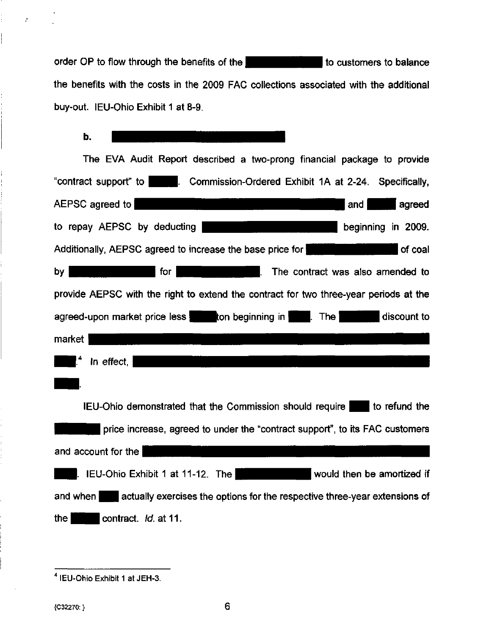order OP to flow through the benefits of the ^^^^IHH I to customers to balance the benefits with the costs in the 2009 FAC collections associated with the additional buy-out. lEU-Ohio Exhibit 1 at 8-9.

#### b.

| The EVA Audit Report described a two-prong financial package to provide                          |  |  |  |
|--------------------------------------------------------------------------------------------------|--|--|--|
| "contract support" to <b>No. 2. Commission-Ordered Exhibit 1A at 2-24.</b> Specifically,         |  |  |  |
| كالأنابي والماري والمرابين<br>AEPSC agreed to<br>and<br>agreed                                   |  |  |  |
| to repay AEPSC by deducting the state of the state of the beginning in 2009.                     |  |  |  |
| Additionally, AEPSC agreed to increase the base price for <b>Electional Additionally</b> of coal |  |  |  |
| . The contract was also amended to<br>by <sub>1</sub><br>  for                                   |  |  |  |
| provide AEPSC with the right to extend the contract for two three-year periods at the            |  |  |  |
| agreed-upon market price less to the beginning in the The discount to                            |  |  |  |
| market                                                                                           |  |  |  |
| $\mathsf{I}^4$ In effect, $\mathsf{I}$                                                           |  |  |  |
|                                                                                                  |  |  |  |
| IEU-Ohio demonstrated that the Commission should require to refund the                           |  |  |  |
| price increase, agreed to under the "contract support", to its FAC customers                     |  |  |  |
| and account for the                                                                              |  |  |  |
| would then be amortized if<br>IEU-Ohio Exhibit 1 at 11-12. The                                   |  |  |  |
| and when actually exercises the options for the respective three-year extensions of              |  |  |  |
| the<br>contract. Id. at 11.                                                                      |  |  |  |

÷.

lEU-Ohio Exhibit 1 atJEH-3.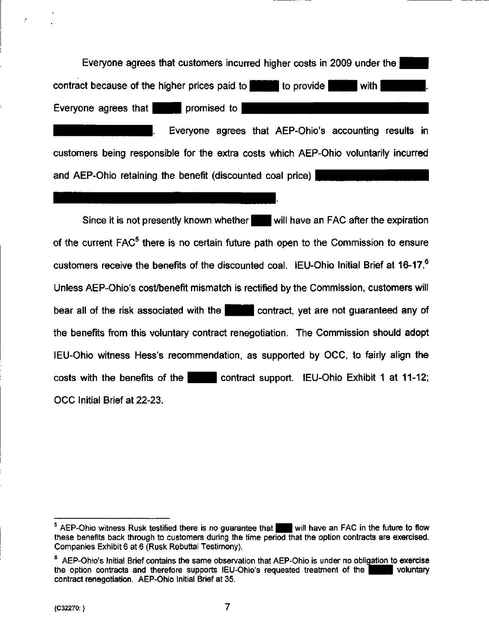Everyone agrees that customers incurred higher costs in 2009 under the contract because of the higher prices paid to  $\blacksquare$  to provide with Everyone agrees that  $\blacksquare$  promised to

Everyone agrees that AEP-Ohio's accounting results in customers being responsible for the extra costs which AEP-Ohio voluntarily incurred and AEP-Ohio retaining the benefit (discounted coal price)

Since it is not presently known whether will have an FAC after the expiration of the current FAC<sup>5</sup> there is no certain future path open to the Commission to ensure customers receive the benefits of the discounted coal. IEU-Ohio Initial Brief at 16-17.<sup>6</sup> Unless AEP-Ohio's cost/benefit mismatch is rectified by the Commission, customers will bear all of the risk associated with the **interest and contract**, yet are not guaranteed any of the benefits from this voluntary contract renegotiation. The Commission should adopt lEU-Ohio witness Hess's recommendation, as supported by OCC, to fairly align the costs with the benefits of the  $\blacksquare$  contract support. IEU-Ohio Exhibit 1 at 11-12; OCC Initial Brief at 22-23.

 $5$  AEP-Ohio witness Rusk testified there is no guarantee that  $\blacksquare$  will have an FAC in the future to flow these benefits back through to customers during the time period that the option contracts are exercised. Companies Exhibit 6 at 6 (Rusk Rebuttal Testimony).

 $\degree$  AEP-Ohio's Initial Brief contains the same observation that AEP-Ohio is under no obligation to exercise the option contracts and therefore supports IEU-Ohio's requested treatment of the the option contracts and therefore supports IEU-Ohio's requested treatment of the contract renegotiation. AEP-Ohio Initial Brief at 35.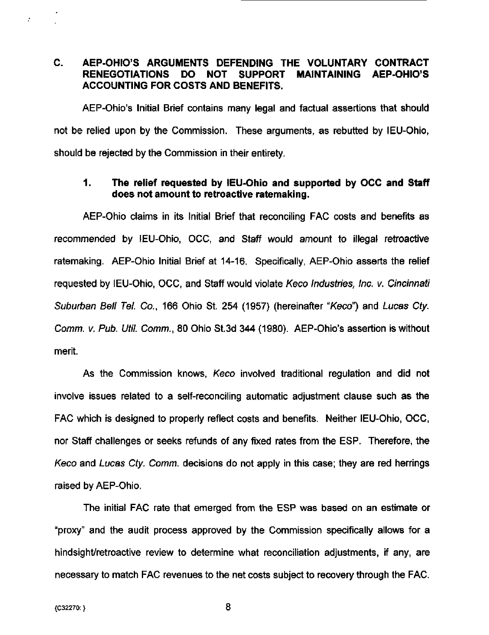#### C, AEP-OHIO'S ARGUMENTS DEFENDING THE VOLUNTARY CONTRACT RENEGOTIATIONS DO NOT SUPPORT MAINTAINING AEP-OHIO'S ACCOUNTING FOR COSTS AND BENEFITS.

AEP-Ohio's Initial Brief contains many legal and factual assertions that should not be relied upon by the Commission. These arguments, as rebutted by lEU-Ohio, should be rejected by the Commission in their entirety.

#### 1. The relief requested by lEU-Ohio and supported by OCC and Staff does not amount to retroactive ratemaking.

AEP-Ohio claims in its Initial Brief that reconciling FAC costs and benefits as recommended by lEU-Ohio, OCC, and Staff would amount to illegal retroactive ratemaking. AEP-Ohio Initial Brief at 14-16. Specifically, AEP-Ohio asserts the relief requested by lEU-Ohio, OCC, and Staff would violate Keco Industries, Inc. v. Cincinnati Suburban Bell Tel. Co., 166 Ohio St. 254 (1957) (hereinafter "Keco") and Lucas Cty. Comm. V. Pub. Util. Comm., 80 Ohio St.3d 344 (1980). AEP-Ohio's assertion is without merit.

As the Commission knows, Keco involved traditional regulation and did not involve issues related to a self-reconciling automatic adjustment clause such as the FAC which is designed to properly reflect costs and benefits. Neither lEU-Ohio, OCC, nor Staff challenges or seeks refunds of any fixed rates from the ESP. Therefore, the Keco and Lucas Cty. Comm. decisions do not apply in this case; they are red herrings raised by AEP-Ohio.

The initial FAC rate that emerged from the ESP was based on an estimate or "proxy" and the audit process approved by the Commission specifically allows for a hindsight/retroactive review to determine what reconciliation adjustments, if any, are necessary to match FAC revenues to the net costs subject to recovery through the FAC.

 $\mathcal{F}$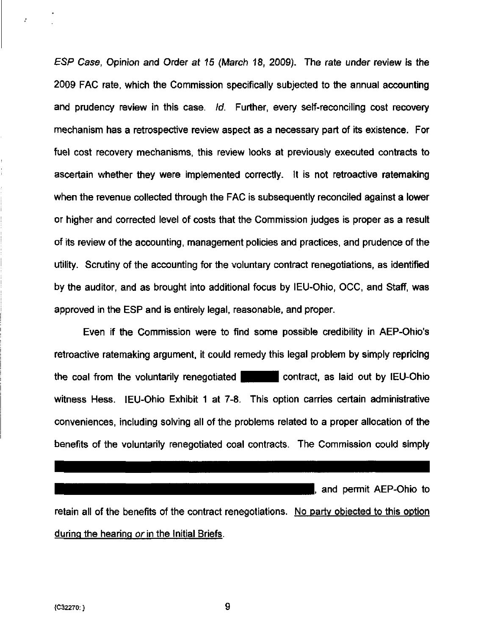ESP Case, Opinion and Order at 15 (March 18, 2009). The rate under review is the 2009 FAC rate, which the Commission specifically subjected to the annual accounting and prudency review in this case. Id. Further, every self-reconciling cost recovery mechanism has a retrospective review aspect as a necessary part of its existence. For fuel cost recovery mechanisms, this review looks at previously executed contracts to ascertain whether they were implemented correctly. It is not retroactive ratemaking when the revenue collected through the FAC is subsequently reconciled against a lower or higher and corrected level of costs that the Commission judges is proper as a result of its review of the accounting, management policies and practices, and prudence of the utility. Scrutiny of the accounting for the voluntary contract renegotiations, as identified by the auditor, and as brought into additional focus by lEU-Ohio, OCC, and Staff, was approved in the ESP and is entirely legal, reasonable, and proper.

Even if the Commission were to find some possible credibility in AEP-Ohio's retroactive ratemaking argument, it could remedy this legal problem by simply repricing the coal from the voluntarily renegotiated  $\blacksquare$  contract, as laid out by IEU-Ohio witness Hess. lEU-Ohio Exhibit 1 at 7-8. This option carries certain administrative conveniences, including solving all of the problems related to a proper allocation of the benefits of the voluntarily renegotiated coal contracts. The Commission could simply

I, and permit AEP-Ohio to retain all of the benefits of the contract renegotiations. No party objected to this option during the hearing or in the Initial Briefs.

÷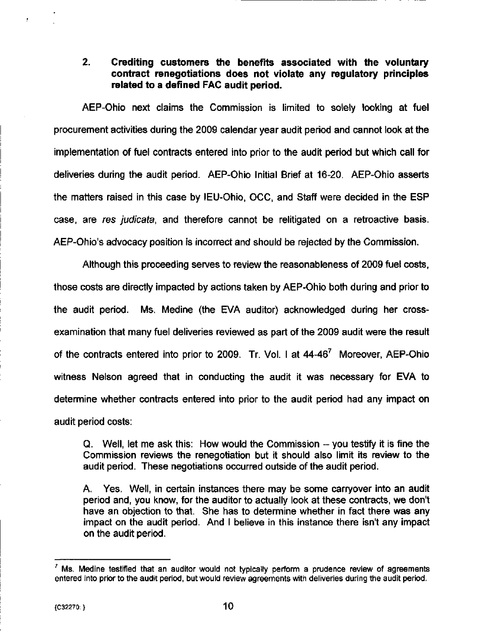#### 2. Crediting customers the benefits associated with the voluntary contract renegotiations does not violate any regulatory principles related to a defined FAC audit period.

AEP-Ohio next claims the Commission is limited to solely looking at fuel procurement activities during the 2009 calendar year audit period and cannot look at the implementation of fuel contracts entered into prior to the audit period but which call for deliveries during the audit period. AEP-Ohio Initial Brief at 16-20. AEP-Ohio asserts the matters raised in this case by lEU-Ohio, OCC, and Staff were decided in the ESP case, are res judicata, and therefore cannot be relitigated on a retroactive basis. AEP-Ohio's advocacy position is incorrect and should be rejected by the Commission.

Although this proceeding serves to review the reasonableness of 2009 fuel costs, those costs are directly impacted by actions taken by AEP-Ohio both during and prior to the audit period. Ms. Medine (the EVA auditor) acknowledged during her crossexamination that many fuel deliveries reviewed as part of the 2009 audit were the result of the contracts entered into prior to 2009. Tr. Vol. I at 44-46<sup>7</sup> Moreover, AEP-Ohio witness Nelson agreed that in conducting the audit it was necessary for EVA to determine whether contracts entered into prior to the audit period had any impact on audit period costs:

Q. Well, let me ask this: How would the Commission ~ you testify it is fine the Commission reviews the renegotiation but it should also limit its review to the audit period. These negotiations occurred outside of the audit period.

A. Yes. Well, in certain instances there may be some carryover into an audit period and, you know, for the auditor to actually look at these contracts, we don't have an objection to that. She has to determine whether in fact there was any impact on the audit period. And I believe in this instance there isn't any impact on the audit period.

Ms. Medine testified that an auditor would not typically perform a prudence review of agreements entered into prior to the audit period, but would review agreements with deliveries during the audit period.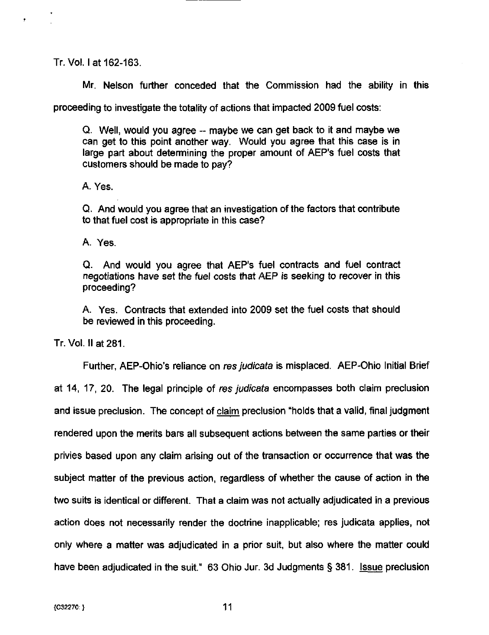Tr. Vol. I at 162-163.

Mr. Nelson further conceded that the Commission had the ability in this

proceeding to investigate the totality of actions that impacted 2009 fuel costs:

Q. Well, would you agree ~ maybe we can get back to it and maybe we can get to this point another way. Would you agree that this case is in large part about determining the proper amount of AEP's fuel costs that customers should be made to pay?

A. Yes.

Q. And would you agree that an investigation of the factors that contribute to that fuel cost is appropriate in this case?

A. Yes.

Q. And would you agree that AEP's fuel contracts and fuel contract negotiations have set the fuel costs that AEP is seeking to recover in this proceeding?

A. Yes. Contracts that extended into 2009 set the fuel costs that should be reviewed in this proceeding.

Tr. Vol. II at 281.

Further, AEP-Ohio's reliance on res judicata is misplaced. AEP-Ohio Initial Brief at 14, 17, 20. The legal principle of res judicata encompasses both claim preclusion and issue preclusion. The concept of claim preclusion "holds that a valid, final judgment rendered upon the merits bars all subsequent actions between the same parties or their privies based upon any claim arising out of the transaction or occurrence that was the subject matter of the previous action, regardless of whether the cause of action in the two suits is identical or different. That a claim was not actually adjudicated in a previous action does not necessarily render the doctrine inapplicable; res judicata applies, not only where a matter was adjudicated in a prior suit, but also where the matter could have been adjudicated in the suit." 63 Ohio Jur. 3d Judgments § 381. Issue preclusion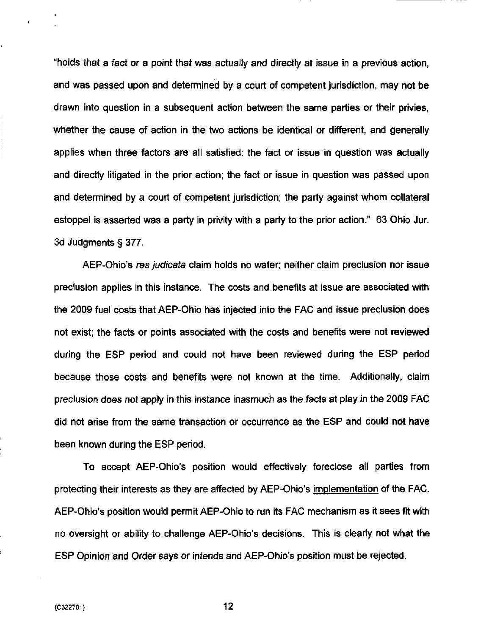"holds that a fact or a point that was actually and directly at issue in a previous action, and was passed upon and detemiined by a court of competent jurisdiction, may not be drawn into question in a subsequent action between the same parties or their privies, whether the cause of action in the two actions be identical or different, and generally applies when three factors are all satisfied: the fact or issue in question was actually and directly litigated in the prior action; the fact or issue in question was passed upon and detemnined by a court of competent jurisdiction; the party against whom collateral estoppel is asserted was a party in privity with a party to the prior action." 63 Ohio Jur. 3d Judgments § 377.

AEP-Ohio's res judicata claim holds no water; neither claim preclusion nor issue preclusion applies in this instance. The costs and benefits at issue are associated with the 2009 fuel costs that AEP-Ohio has injected into the FAC and issue preclusion does not exist; the facts or points associated with the costs and benefits were not reviewed during the ESP period and could not have been reviewed during the ESP period because those costs and benefits were not known at the time. Additionally, claim preclusion does not apply in this instance inasmuch as the facts at play in the 2009 FAC did not arise from the same transaction or occurrence as the ESP and could not have been known during the ESP period.

To accept AEP-Ohio's position would effectively foreclose all parties from protecting their interests as they are affected by AEP-Ohio's implementation of the FAC. AEP-Ohio's position would permit AEP-Ohio to run its FAC mechanism as it sees fit with no oversight or ability to challenge AEP-Ohio's decisions. This is clearly not what the ESP Opinion and Order says or intends and AEP-Ohio's position must be rejected.

ý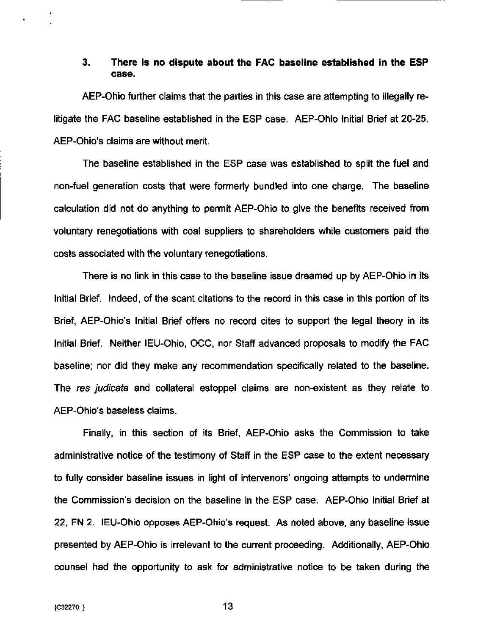#### 3. There is no dispute about the FAC baseline established in the ESP case.

AEP-Ohio further claims that the parties in this case are attempting to illegally relitigate the FAC baseline established in the ESP case. AEP-Ohio Initial Brief at 20-25, AEP-Ohio's claims are without merit.

The baseline established in the ESP case was established to split the fuel and non-fuel generation costs that were formerly bundled into one charge. The baseline calculation did not do anything to permit AEP-Ohio to give the benefits received from voluntary renegotiations with coal suppliers to shareholders while customers paid the costs associated with the voluntary renegotiations.

There is no link in this case to the baseline issue dreamed up by AEP-Ohio in its Initial Brief. Indeed, of the scant citations to the record in this case in this portion of its Brief, AEP-Ohio's Initial Brief offers no record cites to support the legal theory in its Initial Brief. Neither IEU-Ohio, OCC, nor Staff advanced proposals to modify the FAC baseline; nor did they make any recommendation specifically related to the baseline. The res judicata and collateral estoppel claims are non-existent as they relate to AEP-Ohio's baseless claims.

Finally, in this section of its Brief, AEP-Ohio asks the Commission to take administrative notice of the testimony of Staff in the ESP case to the extent necessary to fully consider baseline issues in light of intervenors' ongoing attempts to undermine the Commission's decision on the baseline in the ESP case. AEP-Ohio Initial Brief at 22, FN 2. lEU-Ohio opposes AEP-Ohio's request. As noted above, any baseline issue presented by AEP-Ohio is irrelevant to the current proceeding. Additionally, AEP-Ohio counsel had the opportunity to ask for administrative notice to be taken during the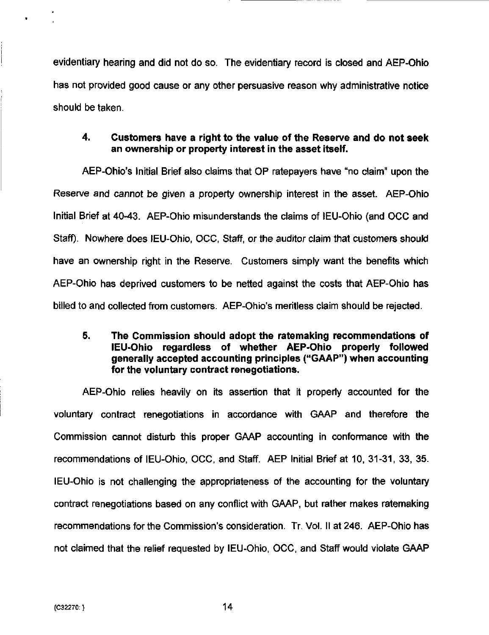evidentiary hearing and did not do so. The evidentiary record is closed and AEP-Ohio has not provided good cause or any other persuasive reason why administrative notice should be taken.

#### 4. Customers have a right to the value of the Reserve and do not seek an ownership or property interest in the asset itself.

AEP-Ohio's Initial Brief also claims that OP ratepayers have "no claim" upon the Reserve and cannot be given a property ownership interest in the asset. AEP-Ohio Initial Brief at 40-43. AEP-Ohio misunderstands the claims of lEU-Ohio (and OCC and Staff). Nowhere does IEU-Ohio, OCC, Staff, or the auditor claim that customers should have an ownership right in the Reserve. Customers simply want the benefits which AEP-Ohio has deprived customers to be netted against the costs that AEP-Ohio has billed to and collected from customers. AEP-Ohio's meritless claim should be rejected.

#### 5. The Commission should adopt the ratemaking recommendations of lEU-Ohio regardless of whether AEP-Ohio properly followed generally accepted accounting principles ("GAAP") when accounting for the voluntary contract renegotiations.

AEP-Ohio relies heavily on its assertion that it properly accounted for the voluntary contract renegotiations in accordance with GAAP and therefore the Commission cannot disturb this proper GAAP accounting in confomiance with the recommendations of lEU-Ohio, OCC, and Staff. AEP Initial Brief at 10, 31-31, 33, 35. lEU-Ohio is not challenging the appropriateness of the accounting for the voluntary contract renegotiations based on any conflict with GAAP, but rather makes ratemaking recommendations for the Commission's consideration. Tr. Vol. II at 246. AEP-Ohio has not claimed that the relief requested by lEU-Ohio, OCC, and Staff would violate GAAP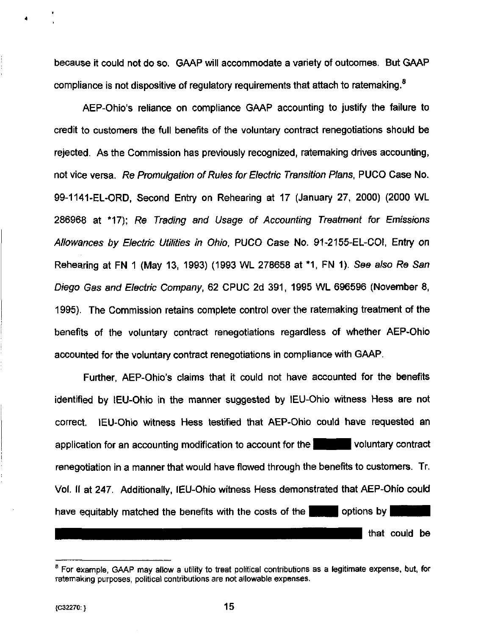because it could not do so. GAAP will accommodate a variety of outcomes. But GAAP compliance is not dispositive of regulatory requirements that attach to ratemaking.<sup>8</sup>

AEP-Ohio's reliance on compliance GAAP accounting to justify the failure to credit to customers the full benefits of the voluntary contract renegotiations should be rejected. As the Commission has previously recognized, ratemaking drives accounting, not vice versa. Re Promulgation of Rules for Electric Transition Plans, PUCO Case No. 99-1141-EL-ORD, Second Entry on Rehearing at 17 (January 27, 2000) (2000 WL 286968 at \*17); Re Trading and Usage of Accounting Treatment for Emissions Allowances by Electric Utilities in Ohio, PUCO Case No. 91-2155-EL-COI, Entry on Rehearing at FN 1 (May 13, 1993) (1993 WL 278658 at \*1 , FN 1). See also Re San Diego Gas and Electric Company, 62 CPUC 2d 391, 1995 WL 696596 (November 8, 1995). The Commission retains complete control over the ratemaking treatment of the benefits of the voluntary contract renegotiations regardless of whether AEP-Ohio accounted for the voluntary contract renegotiations in compliance with GAAP.

Further, AEP-Ohio's claims that it could not have accounted for the benefits identified by lEU-Ohio in the manner suggested by lEU-Ohio witness Hess are not correct. lEU-Ohio witness Hess testified that AEP-Ohio could have requested an application for an accounting modification to account for the  $|$   $|$   $|$  voluntary contract renegotiation in a manner that would have flowed through the benefits to customers. Tr. Vol. II at 247. Additionally, lEU-Ohio witness Hess demonstrated that AEP-Ohio could have equitably matched the benefits with the costs of the  $\blacksquare$   $\blacksquare$  options by that could be

<sup>&</sup>lt;sup>8</sup> For example, GAAP may allow a utility to treat political contributions as a legitimate expense, but, for ratemaking purposes, political contributions are not allowable expenses.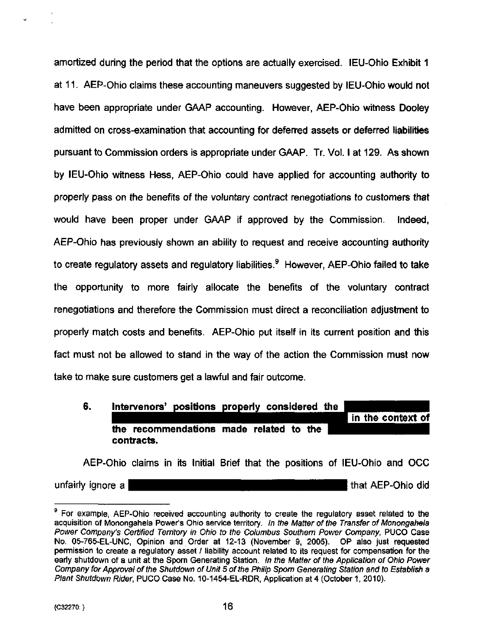amortized during the period that the options are actually exercised. lEU-Ohio Exhibit 1 at 11. AEP-Ohio claims these accounting maneuvers suggested by lEU-Ohio would not have been appropriate under GAAP accounting. However, AEP-Ohio witness Dooley admitted on cross-examination that accounting for deferred assets or deferred liabilities pursuant to Commission orders is appropriate under GAAP. Tr. Vol. I at 129. As shown by lEU-Ohio witness Hess, AEP-Ohio could have applied for accounting authority to properly pass on the benefits of the voluntary contract renegotiations to customers that would have been proper under GAAP if approved by the Commission. Indeed, AEP-Ohio has previously shown an ability to request and receive accounting authority to create regulatory assets and regulatory liabilities. $9$  However, AEP-Ohio failed to take the opportunity to more fairly allocate the benefits of the voluntary contract renegotiations and therefore the Commission must direct a reconciliation adjustment to properly match costs and benefits. AEP-Ohio put itself in its current position and this fact must not be allowed to stand in the way of the action the Commission must now take to make sure customers get a lawful and fair outcome.

6. Intervenors' positions properly considered the\_^ \_^^i n the context of the recommendations made related to the contracts.

AEP-Ohio claims in its Initial Brief that the positions of lEU-Ohio and OCC a a  $\blacksquare$  and that AEP-Ohio did

<sup>&</sup>lt;sup>9</sup> For example, AEP-Ohio received accounting authority to create the regulatory asset related to the acquisition of Monongahela Power's Ohio service territory. In the Matter of the Transfer of Monongahela Power Company's Certified Territory in Ohio to the Columbus Southern Power Company, PUCO Case No. 05-765^EL-UNC, Opinion and Order at 12-13 (November 9, 2005). OP also just requested permission to create a regulatory asset / liability account related to its request for compensation for the early shutdown of a unit at the Sporn Generating Station. In the Matter of the Application of Ohio Power Company for Approval of the Shutdown of Unit 5 of the Philip Sporn Generating Station and to Establish a Plant Shutdown Rider, PUCO Case No. 10-1454-EL-RDR, Application at 4 (October 1, 2010).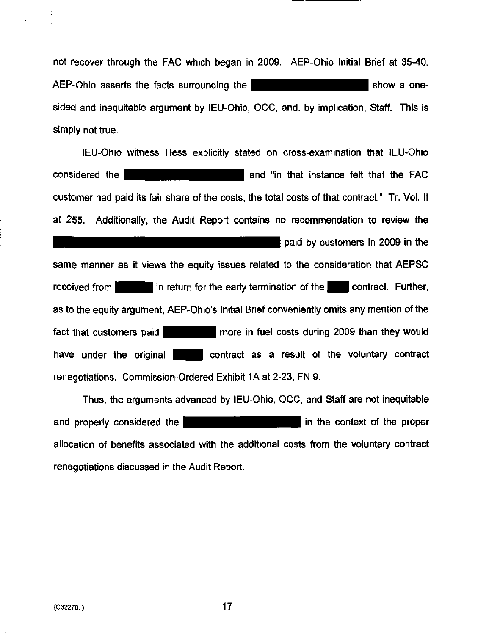not recover through the FAC which began in 2009. AEP-Ohio Initial Brief at 35-40. AEP-Ohio asserts the facts surrounding the **HUJHBHI HIGHBHI HE show a one**sided and inequitable argument by IEU-Ohio, OCC, and, by implication, Staff. This is simply not true.

lEU-Ohio witness Hess explicitly stated on cross-examination that lEU-Ohio considered the **considered** the **considered** the **FAC** customer had paid its fair share of the costs, the total costs of that contract." Tr. Vol. II at 255. Additionally, the Audit Report contains no recommendation to review the **paid by customers in 2009 in the** same manner as it views the equity issues related to the consideration that AEPSC received from **I in return for the early termination of the I I contract. Further,** as to the equity argument, AEP-Ohio's Initial Brief conveniently omits any mention ofthe fact that customers paid **Hermitian** H more in fuel costs during 2009 than they would have under the original **interest contract as a result of the voluntary contract** renegotiations. Commission-Ordered Exhibit IA at 2-23, FN 9.

Thus, the arguments advanced by lEU-Ohio, OCC, and Staff are not inequitable and properly considered the **Herican interest of the proper** in the context of the proper allocation of benefits associated with the additional costs from the voluntary contract renegotiations discussed in the Audit Report.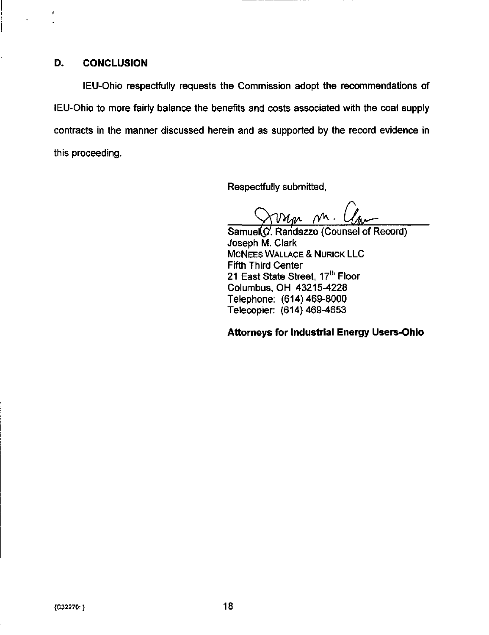#### D. CONCLUSION

lEU-Ohio respectfully requests the Commission adopt the recommendations of lEU-Ohio to more fairly balance the benefits and costs associated with the coal supply contracts in the manner discussed herein and as supported by the record evidence in this proceeding.

Respectfully submitted,

 $w_m$  n. l

Samuel<sup>(C</sup>. Randazzo (Counsel of Record) Joseph M. Clark MCNEES WALLACE & NURICK LLC Fifth Third Center 21 East State Street, 17<sup>th</sup> Floor Columbus, OH 43215-4228 Telephone: (614)469-8000 Telecopier: (614)469-4653

Attorneys for Industrial Energy Users-Ohio